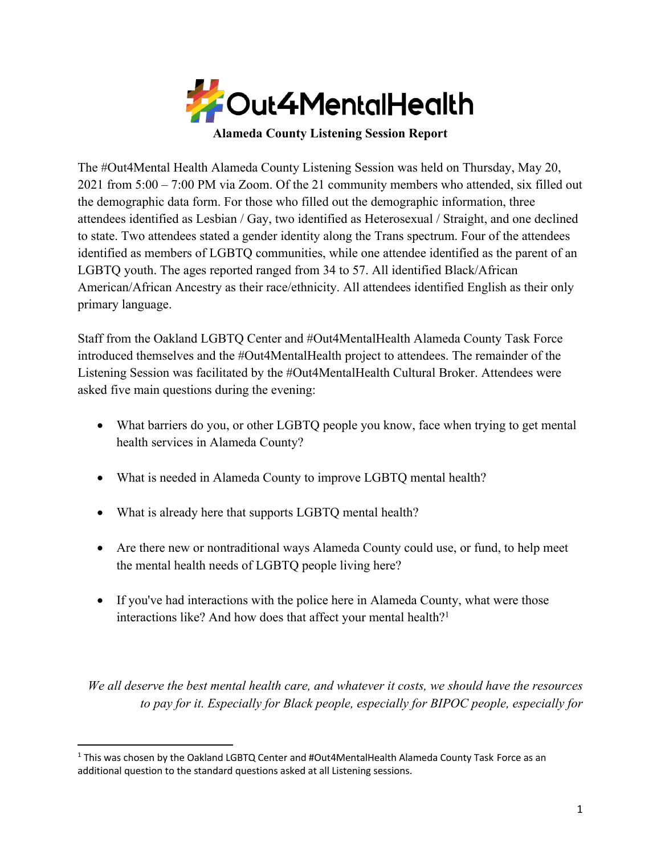

**Alameda County Listening Session Report**

The #Out4Mental Health Alameda County Listening Session was held on Thursday, May 20, 2021 from 5:00 – 7:00 PM via Zoom. Of the 21 community members who attended, six filled out the demographic data form. For those who filled out the demographic information, three attendees identified as Lesbian / Gay, two identified as Heterosexual / Straight, and one declined to state. Two attendees stated a gender identity along the Trans spectrum. Four of the attendees identified as members of LGBTQ communities, while one attendee identified as the parent of an LGBTQ youth. The ages reported ranged from 34 to 57. All identified Black/African American/African Ancestry as their race/ethnicity. All attendees identified English as their only primary language.

Staff from the Oakland LGBTQ Center and #Out4MentalHealth Alameda County Task Force introduced themselves and the #Out4MentalHealth project to attendees. The remainder of the Listening Session was facilitated by the #Out4MentalHealth Cultural Broker. Attendees were asked five main questions during the evening:

- What barriers do you, or other LGBTQ people you know, face when trying to get mental health services in Alameda County?
- What is needed in Alameda County to improve LGBTQ mental health?
- What is already here that supports LGBTO mental health?
- Are there new or nontraditional ways Alameda County could use, or fund, to help meet the mental health needs of LGBTQ people living here?
- If you've had interactions with the police here in Alameda County, what were those interactions like? And how does that affect your mental health?<sup>1</sup>

*We all deserve the best mental health care, and whatever it costs, we should have the resources to pay for it. Especially for Black people, especially for BIPOC people, especially for* 

 $1$  This was chosen by the Oakland LGBTQ Center and #Out4MentalHealth Alameda County Task Force as an additional question to the standard questions asked at all Listening sessions.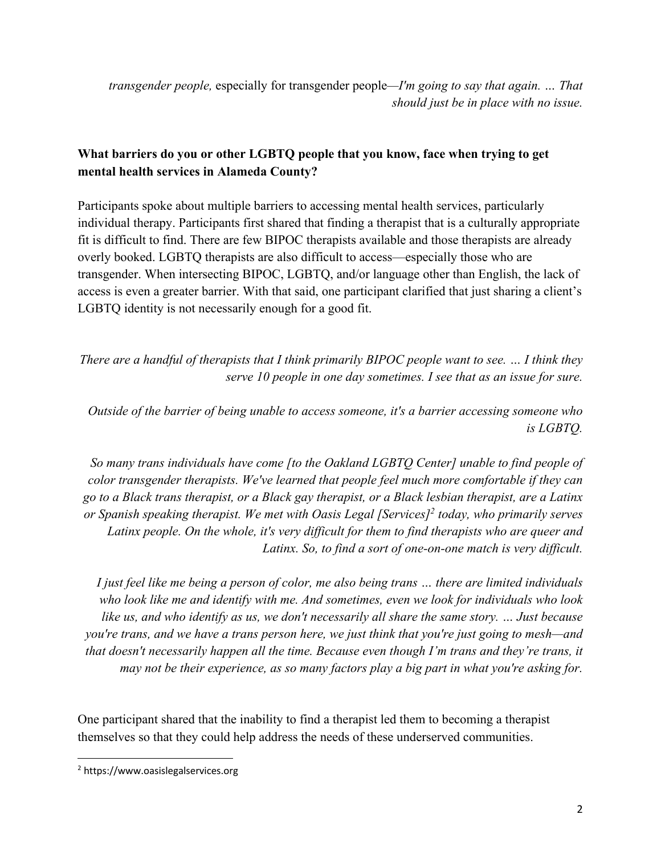*transgender people,* especially for transgender people*—I'm going to say that again. … That should just be in place with no issue.*

# **What barriers do you or other LGBTQ people that you know, face when trying to get mental health services in Alameda County?**

Participants spoke about multiple barriers to accessing mental health services, particularly individual therapy. Participants first shared that finding a therapist that is a culturally appropriate fit is difficult to find. There are few BIPOC therapists available and those therapists are already overly booked. LGBTQ therapists are also difficult to access—especially those who are transgender. When intersecting BIPOC, LGBTQ, and/or language other than English, the lack of access is even a greater barrier. With that said, one participant clarified that just sharing a client's LGBTQ identity is not necessarily enough for a good fit.

*There are a handful of therapists that I think primarily BIPOC people want to see. … I think they serve 10 people in one day sometimes. I see that as an issue for sure.*

*Outside of the barrier of being unable to access someone, it's a barrier accessing someone who is LGBTQ.*

*So many trans individuals have come [to the Oakland LGBTQ Center] unable to find people of color transgender therapists. We've learned that people feel much more comfortable if they can go to a Black trans therapist, or a Black gay therapist, or a Black lesbian therapist, are a Latinx or Spanish speaking therapist. We met with Oasis Legal [Services]2 today, who primarily serves Latinx people. On the whole, it's very difficult for them to find therapists who are queer and Latinx. So, to find a sort of one-on-one match is very difficult.*

*I just feel like me being a person of color, me also being trans … there are limited individuals who look like me and identify with me. And sometimes, even we look for individuals who look like us, and who identify as us, we don't necessarily all share the same story. … Just because you're trans, and we have a trans person here, we just think that you're just going to mesh—and that doesn't necessarily happen all the time. Because even though I'm trans and they're trans, it may not be their experience, as so many factors play a big part in what you're asking for.*

One participant shared that the inability to find a therapist led them to becoming a therapist themselves so that they could help address the needs of these underserved communities.

<sup>2</sup> https://www.oasislegalservices.org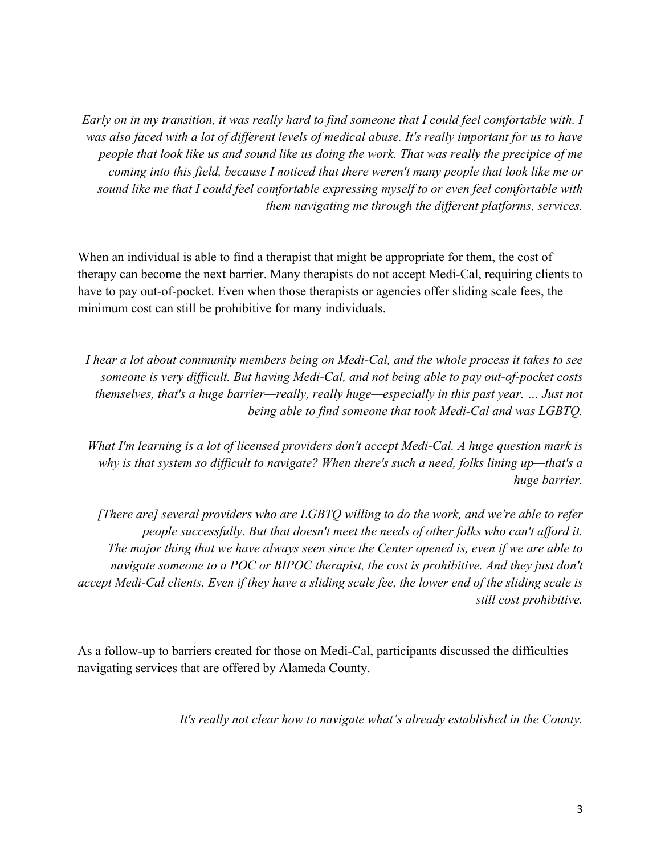*Early on in my transition, it was really hard to find someone that I could feel comfortable with. I was also faced with a lot of different levels of medical abuse. It's really important for us to have people that look like us and sound like us doing the work. That was really the precipice of me coming into this field, because I noticed that there weren't many people that look like me or sound like me that I could feel comfortable expressing myself to or even feel comfortable with them navigating me through the different platforms, services.*

When an individual is able to find a therapist that might be appropriate for them, the cost of therapy can become the next barrier. Many therapists do not accept Medi-Cal, requiring clients to have to pay out-of-pocket. Even when those therapists or agencies offer sliding scale fees, the minimum cost can still be prohibitive for many individuals.

*I hear a lot about community members being on Medi-Cal, and the whole process it takes to see someone is very difficult. But having Medi-Cal, and not being able to pay out-of-pocket costs themselves, that's a huge barrier—really, really huge—especially in this past year. … Just not being able to find someone that took Medi-Cal and was LGBTQ.*

*What I'm learning is a lot of licensed providers don't accept Medi-Cal. A huge question mark is why is that system so difficult to navigate? When there's such a need, folks lining up—that's a huge barrier.*

*[There are] several providers who are LGBTQ willing to do the work, and we're able to refer people successfully. But that doesn't meet the needs of other folks who can't afford it. The major thing that we have always seen since the Center opened is, even if we are able to navigate someone to a POC or BIPOC therapist, the cost is prohibitive. And they just don't accept Medi-Cal clients. Even if they have a sliding scale fee, the lower end of the sliding scale is still cost prohibitive.*

As a follow-up to barriers created for those on Medi-Cal, participants discussed the difficulties navigating services that are offered by Alameda County.

*It's really not clear how to navigate what's already established in the County.*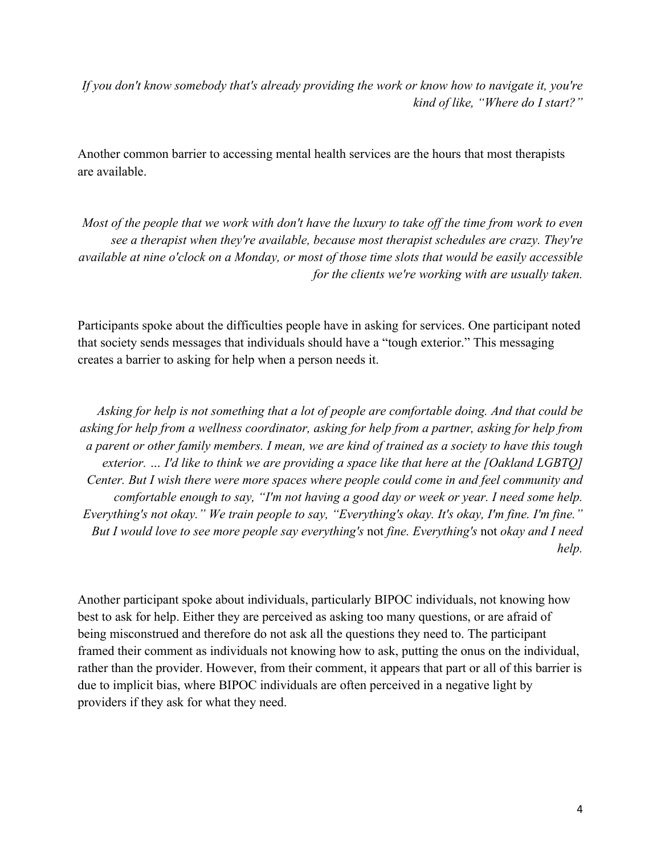*If you don't know somebody that's already providing the work or know how to navigate it, you're kind of like, "Where do I start?"*

Another common barrier to accessing mental health services are the hours that most therapists are available.

*Most of the people that we work with don't have the luxury to take off the time from work to even see a therapist when they're available, because most therapist schedules are crazy. They're available at nine o'clock on a Monday, or most of those time slots that would be easily accessible for the clients we're working with are usually taken.*

Participants spoke about the difficulties people have in asking for services. One participant noted that society sends messages that individuals should have a "tough exterior." This messaging creates a barrier to asking for help when a person needs it.

*Asking for help is not something that a lot of people are comfortable doing. And that could be asking for help from a wellness coordinator, asking for help from a partner, asking for help from a parent or other family members. I mean, we are kind of trained as a society to have this tough exterior. … I'd like to think we are providing a space like that here at the [Oakland LGBTQ] Center. But I wish there were more spaces where people could come in and feel community and comfortable enough to say, "I'm not having a good day or week or year. I need some help. Everything's not okay." We train people to say, "Everything's okay. It's okay, I'm fine. I'm fine." But I would love to see more people say everything's* not *fine. Everything's* not *okay and I need help.*

Another participant spoke about individuals, particularly BIPOC individuals, not knowing how best to ask for help. Either they are perceived as asking too many questions, or are afraid of being misconstrued and therefore do not ask all the questions they need to. The participant framed their comment as individuals not knowing how to ask, putting the onus on the individual, rather than the provider. However, from their comment, it appears that part or all of this barrier is due to implicit bias, where BIPOC individuals are often perceived in a negative light by providers if they ask for what they need.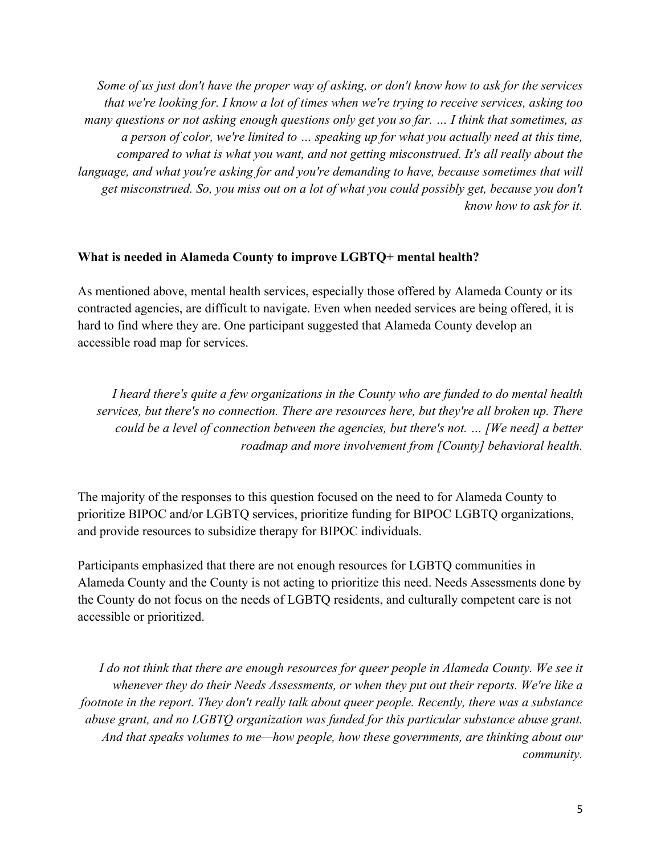*Some of us just don't have the proper way of asking, or don't know how to ask for the services that we're looking for. I know a lot of times when we're trying to receive services, asking too many questions or not asking enough questions only get you so far. … I think that sometimes, as a person of color, we're limited to … speaking up for what you actually need at this time, compared to what is what you want, and not getting misconstrued. It's all really about the language, and what you're asking for and you're demanding to have, because sometimes that will get misconstrued. So, you miss out on a lot of what you could possibly get, because you don't know how to ask for it.*

#### **What is needed in Alameda County to improve LGBTQ+ mental health?**

As mentioned above, mental health services, especially those offered by Alameda County or its contracted agencies, are difficult to navigate. Even when needed services are being offered, it is hard to find where they are. One participant suggested that Alameda County develop an accessible road map for services.

*I heard there's quite a few organizations in the County who are funded to do mental health services, but there's no connection. There are resources here, but they're all broken up. There could be a level of connection between the agencies, but there's not. … [We need] a better roadmap and more involvement from [County] behavioral health.*

The majority of the responses to this question focused on the need to for Alameda County to prioritize BIPOC and/or LGBTQ services, prioritize funding for BIPOC LGBTQ organizations, and provide resources to subsidize therapy for BIPOC individuals.

Participants emphasized that there are not enough resources for LGBTQ communities in Alameda County and the County is not acting to prioritize this need. Needs Assessments done by the County do not focus on the needs of LGBTQ residents, and culturally competent care is not accessible or prioritized.

*I do not think that there are enough resources for queer people in Alameda County. We see it whenever they do their Needs Assessments, or when they put out their reports. We're like a footnote in the report. They don't really talk about queer people. Recently, there was a substance abuse grant, and no LGBTQ organization was funded for this particular substance abuse grant. And that speaks volumes to me—how people, how these governments, are thinking about our community.*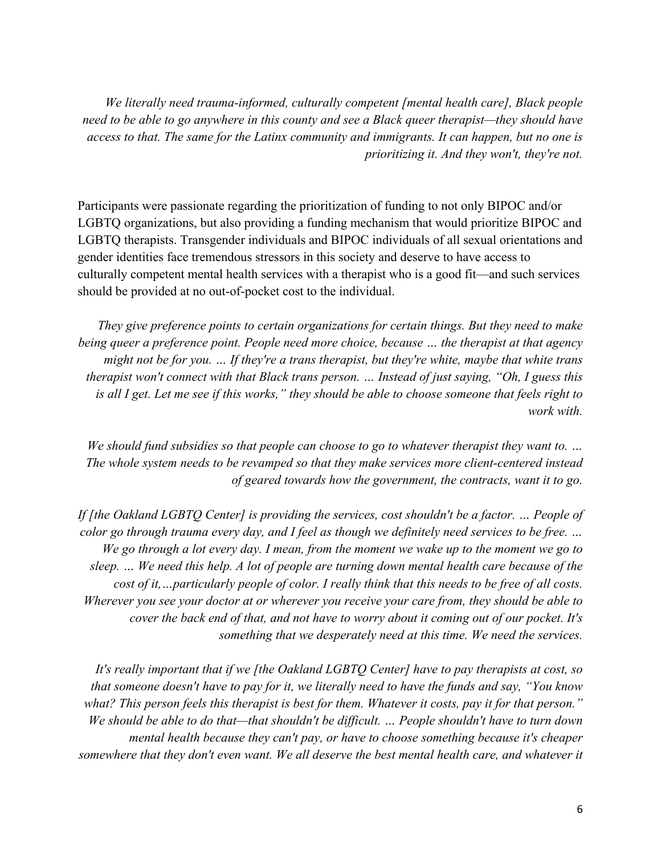*We literally need trauma-informed, culturally competent [mental health care], Black people need to be able to go anywhere in this county and see a Black queer therapist—they should have access to that. The same for the Latinx community and immigrants. It can happen, but no one is prioritizing it. And they won't, they're not.*

Participants were passionate regarding the prioritization of funding to not only BIPOC and/or LGBTQ organizations, but also providing a funding mechanism that would prioritize BIPOC and LGBTQ therapists. Transgender individuals and BIPOC individuals of all sexual orientations and gender identities face tremendous stressors in this society and deserve to have access to culturally competent mental health services with a therapist who is a good fit—and such services should be provided at no out-of-pocket cost to the individual.

*They give preference points to certain organizations for certain things. But they need to make being queer a preference point. People need more choice, because … the therapist at that agency might not be for you. … If they're a trans therapist, but they're white, maybe that white trans therapist won't connect with that Black trans person. … Instead of just saying, "Oh, I guess this is all I get. Let me see if this works," they should be able to choose someone that feels right to work with.*

*We should fund subsidies so that people can choose to go to whatever therapist they want to. … The whole system needs to be revamped so that they make services more client-centered instead of geared towards how the government, the contracts, want it to go.*

*If [the Oakland LGBTQ Center] is providing the services, cost shouldn't be a factor. … People of color go through trauma every day, and I feel as though we definitely need services to be free. … We go through a lot every day. I mean, from the moment we wake up to the moment we go to sleep. … We need this help. A lot of people are turning down mental health care because of the cost of it,…particularly people of color. I really think that this needs to be free of all costs. Wherever you see your doctor at or wherever you receive your care from, they should be able to cover the back end of that, and not have to worry about it coming out of our pocket. It's something that we desperately need at this time. We need the services.*

*It's really important that if we [the Oakland LGBTQ Center] have to pay therapists at cost, so that someone doesn't have to pay for it, we literally need to have the funds and say, "You know what? This person feels this therapist is best for them. Whatever it costs, pay it for that person." We should be able to do that—that shouldn't be difficult. … People shouldn't have to turn down mental health because they can't pay, or have to choose something because it's cheaper somewhere that they don't even want. We all deserve the best mental health care, and whatever it*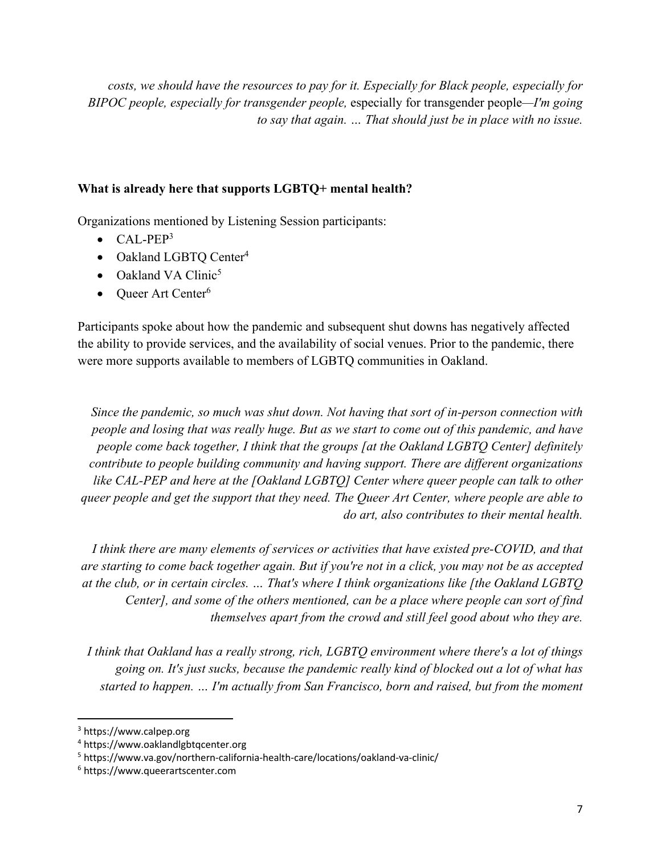*costs, we should have the resources to pay for it. Especially for Black people, especially for BIPOC people, especially for transgender people,* especially for transgender people*—I'm going to say that again. … That should just be in place with no issue.*

### **What is already here that supports LGBTQ+ mental health?**

Organizations mentioned by Listening Session participants:

- $\bullet$  CAL-PEP<sup>3</sup>
- Oakland LGBTQ Center<sup>4</sup>
- Oakland VA Clinic<sup>5</sup>
- Oueer Art Center $6$

Participants spoke about how the pandemic and subsequent shut downs has negatively affected the ability to provide services, and the availability of social venues. Prior to the pandemic, there were more supports available to members of LGBTQ communities in Oakland.

*Since the pandemic, so much was shut down. Not having that sort of in-person connection with people and losing that was really huge. But as we start to come out of this pandemic, and have people come back together, I think that the groups [at the Oakland LGBTQ Center] definitely contribute to people building community and having support. There are different organizations like CAL-PEP and here at the [Oakland LGBTQ] Center where queer people can talk to other queer people and get the support that they need. The Queer Art Center, where people are able to do art, also contributes to their mental health.*

*I think there are many elements of services or activities that have existed pre-COVID, and that are starting to come back together again. But if you're not in a click, you may not be as accepted at the club, or in certain circles. … That's where I think organizations like [the Oakland LGBTQ Center], and some of the others mentioned, can be a place where people can sort of find themselves apart from the crowd and still feel good about who they are.*

*I think that Oakland has a really strong, rich, LGBTQ environment where there's a lot of things going on. It's just sucks, because the pandemic really kind of blocked out a lot of what has started to happen. … I'm actually from San Francisco, born and raised, but from the moment* 

<sup>3</sup> https://www.calpep.org

<sup>4</sup> https://www.oaklandlgbtqcenter.org

<sup>5</sup> https://www.va.gov/northern-california-health-care/locations/oakland-va-clinic/

<sup>6</sup> https://www.queerartscenter.com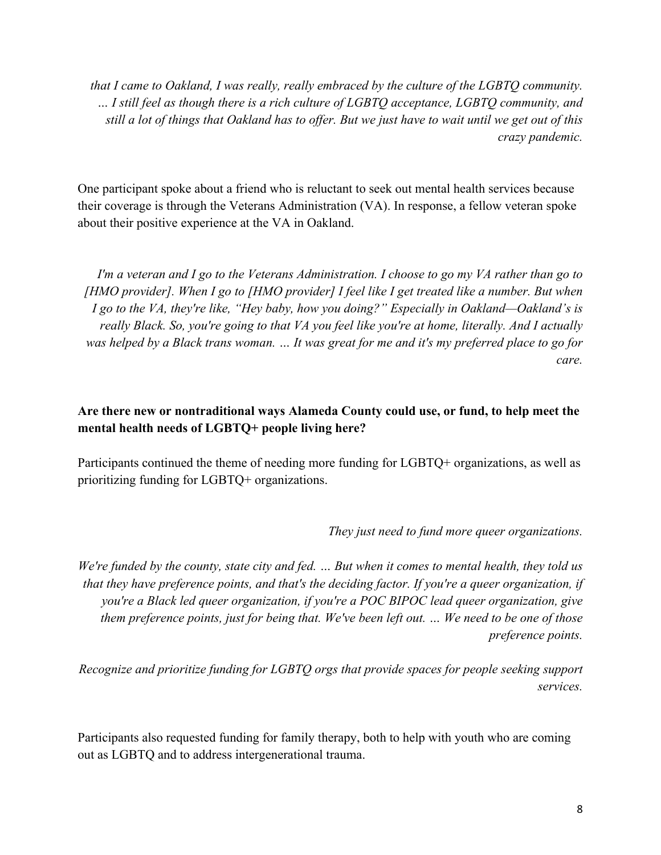*that I came to Oakland, I was really, really embraced by the culture of the LGBTQ community. … I still feel as though there is a rich culture of LGBTQ acceptance, LGBTQ community, and still a lot of things that Oakland has to offer. But we just have to wait until we get out of this crazy pandemic.*

One participant spoke about a friend who is reluctant to seek out mental health services because their coverage is through the Veterans Administration (VA). In response, a fellow veteran spoke about their positive experience at the VA in Oakland.

*I'm a veteran and I go to the Veterans Administration. I choose to go my VA rather than go to [HMO provider]. When I go to [HMO provider] I feel like I get treated like a number. But when I go to the VA, they're like, "Hey baby, how you doing?" Especially in Oakland—Oakland's is really Black. So, you're going to that VA you feel like you're at home, literally. And I actually was helped by a Black trans woman. … It was great for me and it's my preferred place to go for care.*

### **Are there new or nontraditional ways Alameda County could use, or fund, to help meet the mental health needs of LGBTQ+ people living here?**

Participants continued the theme of needing more funding for LGBTQ+ organizations, as well as prioritizing funding for LGBTQ+ organizations.

*They just need to fund more queer organizations.*

*We're funded by the county, state city and fed. … But when it comes to mental health, they told us that they have preference points, and that's the deciding factor. If you're a queer organization, if you're a Black led queer organization, if you're a POC BIPOC lead queer organization, give them preference points, just for being that. We've been left out. … We need to be one of those preference points.*

*Recognize and prioritize funding for LGBTQ orgs that provide spaces for people seeking support services.*

Participants also requested funding for family therapy, both to help with youth who are coming out as LGBTQ and to address intergenerational trauma.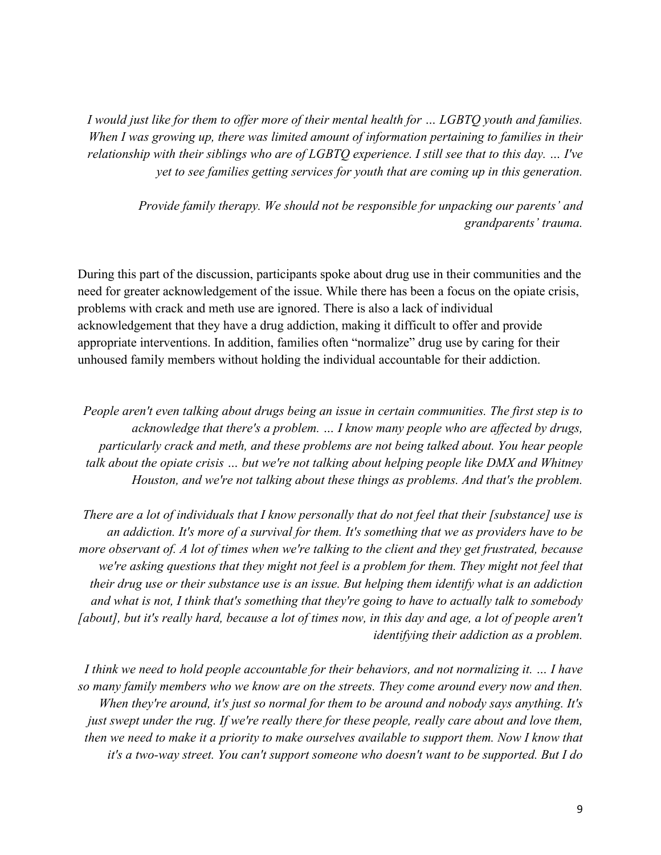*I would just like for them to offer more of their mental health for … LGBTQ youth and families. When I was growing up, there was limited amount of information pertaining to families in their relationship with their siblings who are of LGBTQ experience. I still see that to this day. … I've yet to see families getting services for youth that are coming up in this generation.*

> *Provide family therapy. We should not be responsible for unpacking our parents' and grandparents' trauma.*

During this part of the discussion, participants spoke about drug use in their communities and the need for greater acknowledgement of the issue. While there has been a focus on the opiate crisis, problems with crack and meth use are ignored. There is also a lack of individual acknowledgement that they have a drug addiction, making it difficult to offer and provide appropriate interventions. In addition, families often "normalize" drug use by caring for their unhoused family members without holding the individual accountable for their addiction.

*People aren't even talking about drugs being an issue in certain communities. The first step is to acknowledge that there's a problem. … I know many people who are affected by drugs, particularly crack and meth, and these problems are not being talked about. You hear people talk about the opiate crisis … but we're not talking about helping people like DMX and Whitney Houston, and we're not talking about these things as problems. And that's the problem.*

*There are a lot of individuals that I know personally that do not feel that their [substance] use is an addiction. It's more of a survival for them. It's something that we as providers have to be more observant of. A lot of times when we're talking to the client and they get frustrated, because we're asking questions that they might not feel is a problem for them. They might not feel that their drug use or their substance use is an issue. But helping them identify what is an addiction and what is not, I think that's something that they're going to have to actually talk to somebody [about], but it's really hard, because a lot of times now, in this day and age, a lot of people aren't identifying their addiction as a problem.*

*I think we need to hold people accountable for their behaviors, and not normalizing it. … I have so many family members who we know are on the streets. They come around every now and then. When they're around, it's just so normal for them to be around and nobody says anything. It's just swept under the rug. If we're really there for these people, really care about and love them, then we need to make it a priority to make ourselves available to support them. Now I know that it's a two-way street. You can't support someone who doesn't want to be supported. But I do*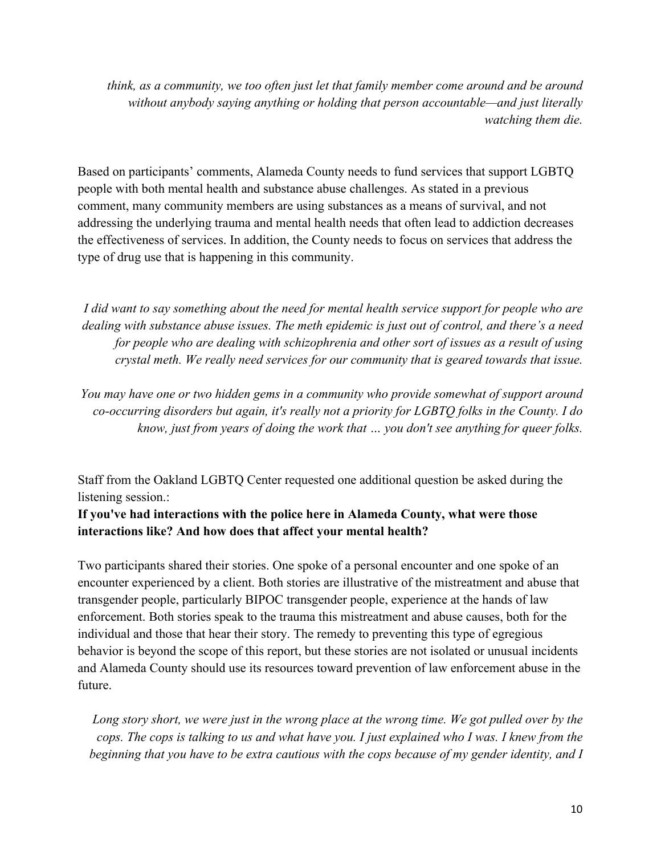*think, as a community, we too often just let that family member come around and be around without anybody saying anything or holding that person accountable—and just literally watching them die.*

Based on participants' comments, Alameda County needs to fund services that support LGBTQ people with both mental health and substance abuse challenges. As stated in a previous comment, many community members are using substances as a means of survival, and not addressing the underlying trauma and mental health needs that often lead to addiction decreases the effectiveness of services. In addition, the County needs to focus on services that address the type of drug use that is happening in this community.

*I did want to say something about the need for mental health service support for people who are dealing with substance abuse issues. The meth epidemic is just out of control, and there's a need for people who are dealing with schizophrenia and other sort of issues as a result of using crystal meth. We really need services for our community that is geared towards that issue.*

*You may have one or two hidden gems in a community who provide somewhat of support around co-occurring disorders but again, it's really not a priority for LGBTQ folks in the County. I do know, just from years of doing the work that … you don't see anything for queer folks.*

Staff from the Oakland LGBTQ Center requested one additional question be asked during the listening session.:

## **If you've had interactions with the police here in Alameda County, what were those interactions like? And how does that affect your mental health?**

Two participants shared their stories. One spoke of a personal encounter and one spoke of an encounter experienced by a client. Both stories are illustrative of the mistreatment and abuse that transgender people, particularly BIPOC transgender people, experience at the hands of law enforcement. Both stories speak to the trauma this mistreatment and abuse causes, both for the individual and those that hear their story. The remedy to preventing this type of egregious behavior is beyond the scope of this report, but these stories are not isolated or unusual incidents and Alameda County should use its resources toward prevention of law enforcement abuse in the future.

*Long story short, we were just in the wrong place at the wrong time. We got pulled over by the cops. The cops is talking to us and what have you. I just explained who I was. I knew from the beginning that you have to be extra cautious with the cops because of my gender identity, and I*